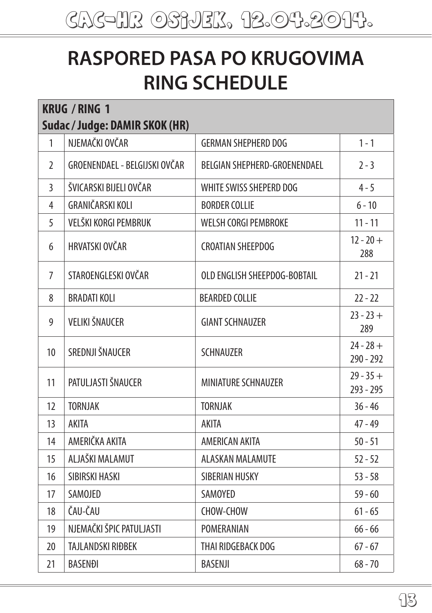## **RASPORED PASA PO KRUGOVIMA RING SCHEDULE**

| <b>KRUG / RING 1</b> |                                |                              |                          |
|----------------------|--------------------------------|------------------------------|--------------------------|
|                      | Sudac / Judge: DAMIR SKOK (HR) |                              |                          |
| 1                    | NJEMAČKI OVČAR                 | <b>GERMAN SHEPHERD DOG</b>   | $1 - 1$                  |
| $\overline{2}$       | GROENENDAEL - BELGIJSKI OVČAR  | BELGIAN SHEPHERD-GROENENDAEL | $2 - 3$                  |
| $\overline{3}$       | ŠVICARSKI BIJELI OVČAR         | WHITE SWISS SHEPERD DOG      | $4 - 5$                  |
| 4                    | GRANIČARSKI KOLI               | <b>BORDER COLLIE</b>         | $6 - 10$                 |
| 5                    | VELŠKI KORGI PEMBRUK           | WELSH CORGI PEMBROKE         | $11 - 11$                |
| 6                    | HRVATSKI OVČAR                 | <b>CROATIAN SHEEPDOG</b>     | $12 - 20 +$<br>288       |
| 7                    | STAROENGLESKI OVČAR            | OLD ENGLISH SHEEPDOG-BOBTAIL | $21 - 21$                |
| 8                    | <b>BRADATI KOLI</b>            | <b>BEARDED COLLIE</b>        | $22 - 22$                |
| 9                    | <b>VELIKI ŠNAUCER</b>          | <b>GIANT SCHNAUZER</b>       | $23 - 23 +$<br>289       |
| 10                   | SREDNJI ŠNAUCER                | <b>SCHNAUZER</b>             | $24 - 28 +$<br>290 - 292 |
| 11                   | PATULJASTI ŠNAUCER             | MINIATURE SCHNAUZER          | $29 - 35 +$<br>293 - 295 |
| 12                   | <b>TORNJAK</b>                 | <b>TORNJAK</b>               | $36 - 46$                |
| 13                   | <b>AKITA</b>                   | <b>AKITA</b>                 | $47 - 49$                |
| 14                   | AMERIČKA AKITA                 | AMERICAN AKITA               | $50 - 51$                |
| 15                   | ALJAŠKI MALAMUT                | ALASKAN MALAMUTE             | $52 - 52$                |
| 16                   | SIBIRSKI HASKI                 | SIBERIAN HUSKY               | $53 - 58$                |
| 17                   | SAMOJED                        | SAMOYED                      | $59 - 60$                |
| 18                   | ČAU-ČAU                        | CHOW-CHOW                    | $61 - 65$                |
| 19                   | NJEMAČKI ŠPIC PATULJASTI       | POMERANIAN                   | $66 - 66$                |
| 20                   | TAJLANDSKI RIĐBEK              | THAI RIDGEBACK DOG           | $67 - 67$                |
| 21                   | <b>BASENĐI</b>                 | <b>BASENJI</b>               | $68 - 70$                |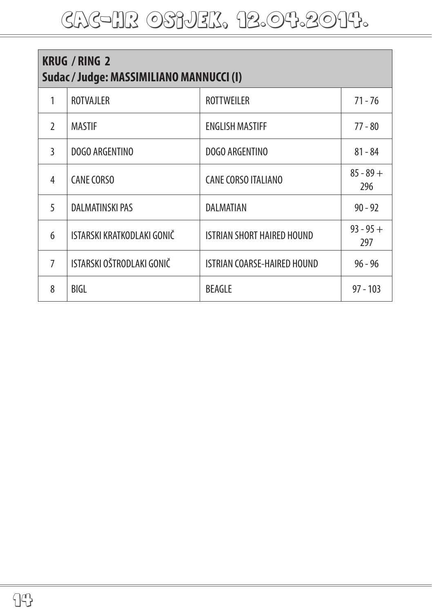| <b>KRUG / RING 2</b><br>Sudac / Judge: MASSIMILIANO MANNUCCI (I) |                            |                                   |                    |
|------------------------------------------------------------------|----------------------------|-----------------------------------|--------------------|
| 1                                                                | <b>ROTVAJLER</b>           | <b>ROTTWEILER</b>                 | $71 - 76$          |
| $\mathcal{L}$                                                    | <b>MASTIF</b>              | <b>ENGLISH MASTIFF</b>            | $77 - 80$          |
| $\mathbf{3}$                                                     | DOGO ARGENTINO             | DOGO ARGENTINO                    | $81 - 84$          |
| 4                                                                | <b>CANE CORSO</b>          | <b>CANE CORSO ITALIANO</b>        | $85 - 89 +$<br>296 |
| 5                                                                | <b>DALMATINSKI PAS</b>     | <b>DALMATIAN</b>                  | $90 - 92$          |
| 6                                                                | ISTARSKI KRATKODLAKI GONIČ | <b>ISTRIAN SHORT HAIRED HOUND</b> | $93 - 95 +$<br>297 |
| $\overline{7}$                                                   | ISTARSKI OŠTRODLAKI GONIČ  | ISTRIAN COARSE-HAIRED HOUND       | $96 - 96$          |
| 8                                                                | BIGL                       | <b>BEAGLE</b>                     | $97 - 103$         |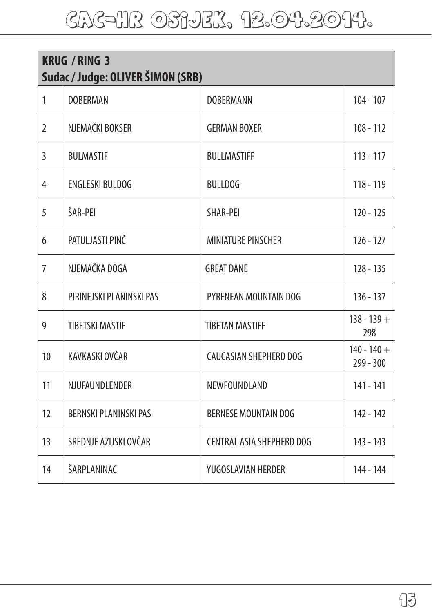## cac-hr OSIJEK, 12.04.2014.

| <b>KRUG / RING 3</b><br>Sudac / Judge: OLIVER ŠIMON (SRB) |                              |                             |                            |
|-----------------------------------------------------------|------------------------------|-----------------------------|----------------------------|
| 1                                                         | <b>DOBERMAN</b>              | DOBERMANN                   | $104 - 107$                |
| $\overline{2}$                                            | NJEMAČKI BOKSER              | <b>GERMAN BOXER</b>         | $108 - 112$                |
| 3                                                         | <b>BULMASTIF</b>             | <b>BULLMASTIFF</b>          | $113 - 117$                |
| 4                                                         | <b>ENGLESKI BULDOG</b>       | <b>BULLDOG</b>              | 118 - 119                  |
| 5                                                         | ŠAR-PEI                      | SHAR-PEI                    | $120 - 125$                |
| 6                                                         | PATULJASTI PINČ              | <b>MINIATURE PINSCHER</b>   | $126 - 127$                |
| $\overline{7}$                                            | NJEMAČKA DOGA                | <b>GREAT DANE</b>           | $128 - 135$                |
| 8                                                         | PIRINEJSKI PLANINSKI PAS     | PYRENEAN MOUNTAIN DOG       | $136 - 137$                |
| 9                                                         | <b>TIBETSKI MASTIF</b>       | <b>TIBETAN MASTIFF</b>      | $138 - 139 +$<br>298       |
| 10                                                        | KAVKASKI OVČAR               | CAUCASIAN SHEPHERD DOG      | $140 - 140 +$<br>299 - 300 |
| 11                                                        | NJUFAUNDLENDER               | NEWFOUNDLAND                | 141 - 141                  |
| 12                                                        | <b>BERNSKI PLANINSKI PAS</b> | <b>BERNESE MOUNTAIN DOG</b> | 142 - 142                  |
| 13                                                        | SREDNJE AZIJSKI OVČAR        | CENTRAL ASIA SHEPHERD DOG   | 143 - 143                  |
| 14                                                        | ŠARPLANINAC                  | YUGOSLAVIAN HERDER          | 144 - 144                  |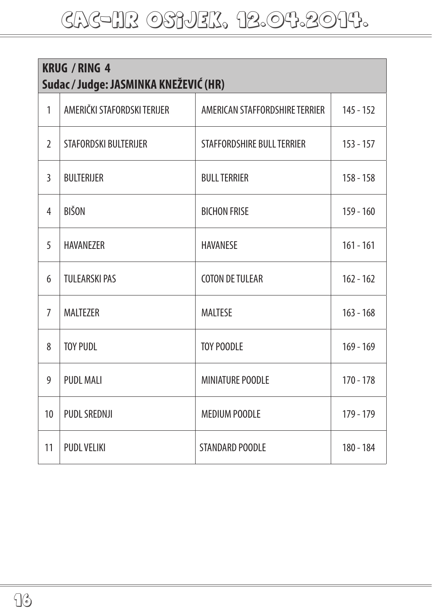| <b>KRUG / RING 4</b><br>Sudac / Judge: JASMINKA KNEŽEVIĆ (HR) |                             |                                |             |
|---------------------------------------------------------------|-----------------------------|--------------------------------|-------------|
| $\mathbf{1}$                                                  | AMERIČKI STAFORDSKI TERIJER | AMERICAN STAFFORDSHIRE TERRIER | $145 - 152$ |
| $\overline{2}$                                                | STAFORDSKI BULTERIJER       | STAFFORDSHIRE BULL TERRIER     | $153 - 157$ |
| 3                                                             | <b>BULTERIJER</b>           | <b>BULL TERRIER</b>            | $158 - 158$ |
| 4                                                             | <b>BIŠON</b>                | <b>BICHON FRISE</b>            | $159 - 160$ |
| 5                                                             | <b>HAVANEZER</b>            | <b>HAVANESE</b>                | $161 - 161$ |
| 6                                                             | <b>TULEARSKI PAS</b>        | <b>COTON DE TULEAR</b>         | $162 - 162$ |
| $\overline{7}$                                                | <b>MALTEZER</b>             | <b>MALTESE</b>                 | $163 - 168$ |
| 8                                                             | <b>TOY PUDL</b>             | <b>TOY POODLE</b>              | $169 - 169$ |
| 9                                                             | <b>PUDL MALI</b>            | <b>MINIATURE POODLE</b>        | $170 - 178$ |
| 10                                                            | <b>PUDL SREDNJI</b>         | <b>MEDIUM POODLE</b>           | 179 - 179   |
| 11                                                            | <b>PUDL VELIKI</b>          | STANDARD POODLE                | 180 - 184   |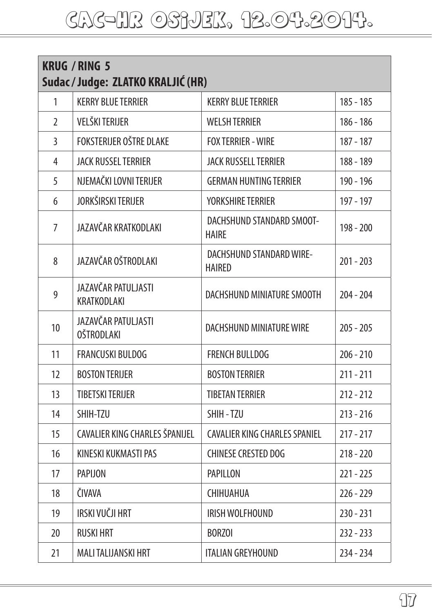| <b>KRUG / RING 5</b><br>Sudac / Judge: ZLATKO KRALJIĆ (HR) |                                          |                                                  |             |
|------------------------------------------------------------|------------------------------------------|--------------------------------------------------|-------------|
| 1                                                          | <b>KERRY BLUE TERRIER</b>                | <b>KERRY BLUE TERRIER</b>                        | $185 - 185$ |
| $\overline{2}$                                             | VELŠKI TERIJER                           | <b>WELSH TERRIER</b>                             | $186 - 186$ |
| 3                                                          | <b>FOKSTERIJER OŠTRE DLAKE</b>           | <b>FOX TERRIER - WIRE</b>                        | $187 - 187$ |
| 4                                                          | <b>JACK RUSSEL TERRIER</b>               | <b>JACK RUSSELL TERRIER</b>                      | 188 - 189   |
| 5                                                          | NJEMAČKI LOVNI TERIJER                   | <b>GERMAN HUNTING TERRIER</b>                    | 190 - 196   |
| 6                                                          | JORKŠIRSKI TERIJER                       | <b>YORKSHIRE TERRIER</b>                         | 197 - 197   |
| 7                                                          | JAZAVČAR KRATKODLAKI                     | DACHSHUND STANDARD SMOOT-<br><b>HAIRE</b>        | 198 - 200   |
| 8                                                          | JAZAVČAR OŠTRODLAKI                      | <b>DACHSHUND STANDARD WIRE-</b><br><b>HAIRED</b> | $201 - 203$ |
| 9                                                          | JAZAVČAR PATULJASTI<br>KRATKODLAKI       | DACHSHUND MINIATURE SMOOTH                       | $204 - 204$ |
| 10                                                         | JAZAVČAR PATULJASTI<br><b>OŠTRODLAKI</b> | DACHSHUND MINIATURF WIRF                         | $205 - 205$ |
| 11                                                         | <b>FRANCUSKI BULDOG</b>                  | <b>FRENCH BULLDOG</b>                            | $206 - 210$ |
| 12                                                         | <b>BOSTON TERIJER</b>                    | <b>BOSTON TERRIER</b>                            | $211 - 211$ |
| 13                                                         | <b>TIBETSKI TERIJER</b>                  | <b>TIBETAN TERRIER</b>                           | $212 - 212$ |
| 14                                                         | SHIH-T7U                                 | SHIH-TZU                                         | $213 - 216$ |
| 15                                                         | CAVALIER KING CHARLES ŠPANIJEL           | <b>CAVALIER KING CHARLES SPANIEL</b>             | $217 - 217$ |
| 16                                                         | KINESKI KUKMASTI PAS                     | <b>CHINESE CRESTED DOG</b>                       | $218 - 220$ |
| 17                                                         | <b>PAPIJON</b>                           | <b>PAPILLON</b>                                  | $221 - 225$ |
| 18                                                         | ČIVAVA                                   | CHIHUAHUA                                        | $226 - 229$ |
| 19                                                         | IRSKI VUČJI HRT                          | IRISH WOLFHOUND                                  | $230 - 231$ |
| 20                                                         | <b>RUSKI HRT</b>                         | <b>BORZOI</b>                                    | $232 - 233$ |
| 21                                                         | MALI TALIJANSKI HRT                      | ITALIAN GREYHOUND                                | 234 - 234   |